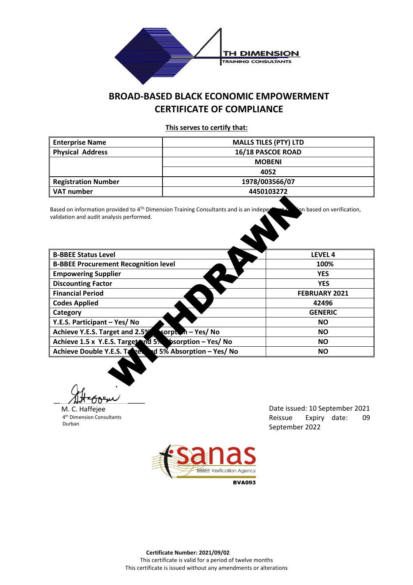

## **BROAD-BASED BLACK ECONOMIC EMPOWERMENT CERTIFICATE OF COMPLIANCE**

**This serves to certify that:** 

| <b>Enterprise Name</b>     | <b>MALLS TILES (PTY) LTD</b> |  |  |
|----------------------------|------------------------------|--|--|
| <b>Physical Address</b>    | 16/18 PASCOE ROAD            |  |  |
|                            | <b>MOBENI</b>                |  |  |
|                            | 4052                         |  |  |
| <b>Registration Number</b> | 1978/003566/07               |  |  |
| VAT number                 | 4450103272                   |  |  |

| Based on information provided to $4^{Th}$ Dimension Training Consultants and is an indeper<br>validation and audit analysis performed. | on based on verification,<br>⊶∴≿ |
|----------------------------------------------------------------------------------------------------------------------------------------|----------------------------------|
|                                                                                                                                        |                                  |
| <b>B-BBEE Status Level</b>                                                                                                             | LEVEL 4                          |
| <b>B-BBEE Procurement Recognition level</b>                                                                                            | 100%                             |
| <b>Empowering Supplier</b>                                                                                                             | <b>YES</b>                       |
| <b>Discounting Factor</b>                                                                                                              | <b>YES</b>                       |
| <b>Financial Period</b>                                                                                                                | <b>FEBRUARY 2021</b>             |
| <b>Codes Applied</b>                                                                                                                   | 42496                            |
| Category                                                                                                                               | <b>GENERIC</b>                   |
| Y.E.S. Participant - Yes/ No                                                                                                           | <b>NO</b>                        |
| Achieve Y.E.S. Target and 2.5%<br>sorpt. n - Yes/ No                                                                                   | <b>NO</b>                        |
| Achieve 1.5 x Y.E.S. Target and 5%<br><b>bsorption - Yes/No</b>                                                                        | <b>NO</b>                        |
| Achieve Double Y.E.S. Tangel<br>d 5% Absorption – Yes/ No                                                                              | <b>NO</b>                        |
|                                                                                                                                        |                                  |
|                                                                                                                                        |                                  |

 $\mathcal{A}$ Haboeu

M. C. Haffejee 4th Dimension Consultants Durban

Date issued: 10 September 2021 Reissue Expiry date: 09 September 2022



**BVA093**